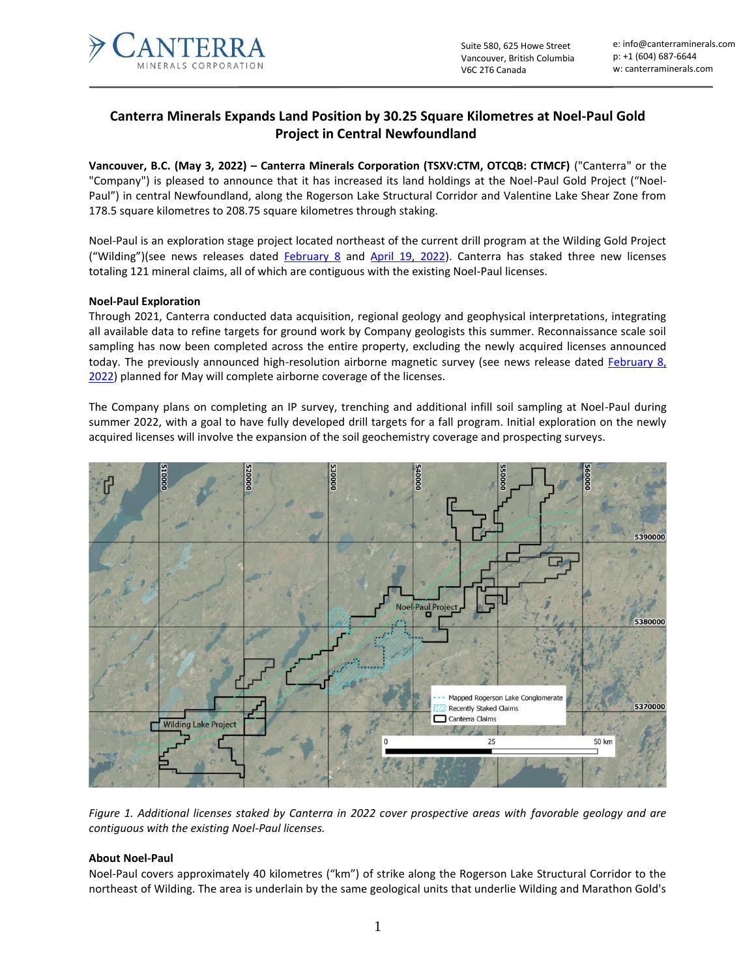

# **Canterra Minerals Expands Land Position by 30.25 Square Kilometres at Noel-Paul Gold Project in Central Newfoundland**

**Vancouver, B.C. (May 3, 2022) – Canterra Minerals Corporation (TSXV:CTM, OTCQB: CTMCF)** ("Canterra" or the "Company") is pleased to announce that it has increased its land holdings at the Noel-Paul Gold Project ("Noel-Paul") in central Newfoundland, along the Rogerson Lake Structural Corridor and Valentine Lake Shear Zone from 178.5 square kilometres to 208.75 square kilometres through staking.

Noel-Paul is an exploration stage project located northeast of the current drill program at the Wilding Gold Project ("Wilding")(see news releases dated **[February 8](https://canterraminerals.com/news-releases/canterra-minerals-provides-exploration-and-drilling-status-update/)** and [April 19, 2022\)](https://canterraminerals.com/news-releases/canterra-minerals-intersects-multiple-intervals-of-gold-mineralization-at-the-wilding-gold-project-including-81-g-t-au-over-0.5/). Canterra has staked three new licenses totaling 121 mineral claims, all of which are contiguous with the existing Noel-Paul licenses.

## **Noel-Paul Exploration**

Through 2021, Canterra conducted data acquisition, regional geology and geophysical interpretations, integrating all available data to refine targets for ground work by Company geologists this summer. Reconnaissance scale soil sampling has now been completed across the entire property, excluding the newly acquired licenses announced today. The previously announced high-resolution airborne magnetic survey (see news release dated [February](https://canterraminerals.com/news-releases/canterra-minerals-provides-exploration-and-drilling-status-update/) 8, [2022\)](https://canterraminerals.com/news-releases/canterra-minerals-provides-exploration-and-drilling-status-update/) planned for May will complete airborne coverage of the licenses.

The Company plans on completing an IP survey, trenching and additional infill soil sampling at Noel-Paul during summer 2022, with a goal to have fully developed drill targets for a fall program. Initial exploration on the newly acquired licenses will involve the expansion of the soil geochemistry coverage and prospecting surveys.



*Figure 1. Additional licenses staked by Canterra in 2022 cover prospective areas with favorable geology and are contiguous with the existing Noel-Paul licenses.*

## **About Noel-Paul**

Noel-Paul covers approximately 40 kilometres ("km") of strike along the Rogerson Lake Structural Corridor to the northeast of Wilding. The area is underlain by the same geological units that underlie Wilding and Marathon Gold's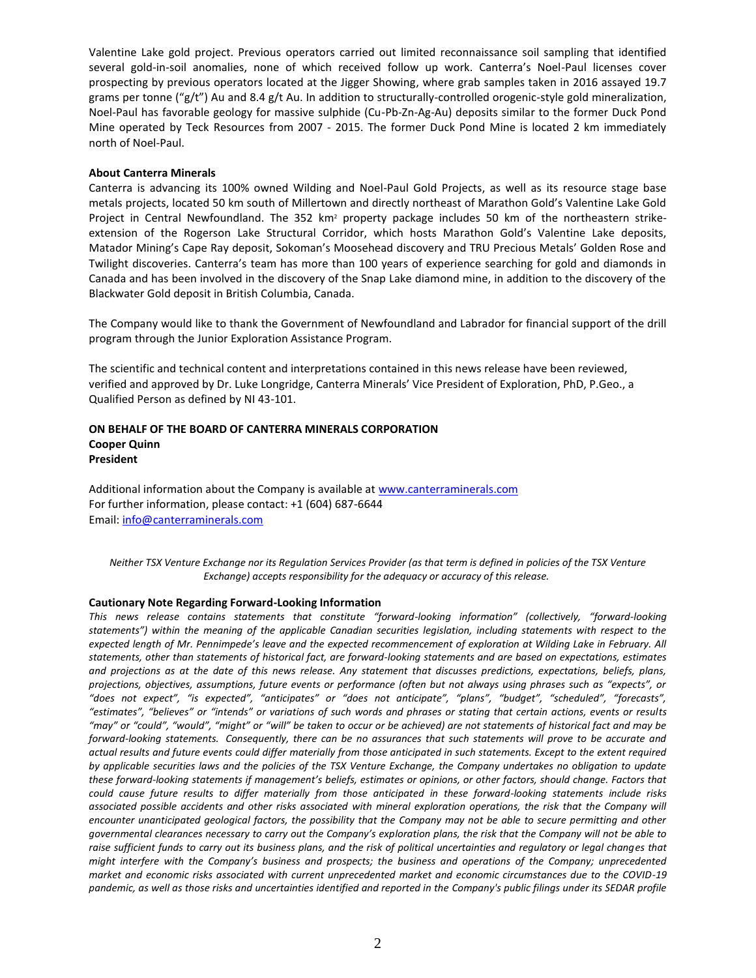Valentine Lake gold project. Previous operators carried out limited reconnaissance soil sampling that identified several gold-in-soil anomalies, none of which received follow up work. Canterra's Noel-Paul licenses cover prospecting by previous operators located at the Jigger Showing, where grab samples taken in 2016 assayed 19.7 grams per tonne (" $g/t$ ") Au and 8.4  $g/t$  Au. In addition to structurally-controlled orogenic-style gold mineralization, Noel-Paul has favorable geology for massive sulphide (Cu-Pb-Zn-Ag-Au) deposits similar to the former Duck Pond Mine operated by Teck Resources from 2007 - 2015. The former Duck Pond Mine is located 2 km immediately north of Noel-Paul.

#### **About Canterra Minerals**

Canterra is advancing its 100% owned Wilding and Noel-Paul Gold Projects, as well as its resource stage base metals projects, located 50 km south of Millertown and directly northeast of Marathon Gold's Valentine Lake Gold Project in Central Newfoundland. The 352 km<sup>2</sup> property package includes 50 km of the northeastern strikeextension of the Rogerson Lake Structural Corridor, which hosts Marathon Gold's Valentine Lake deposits, Matador Mining's Cape Ray deposit, Sokoman's Moosehead discovery and TRU Precious Metals' Golden Rose and Twilight discoveries. Canterra's team has more than 100 years of experience searching for gold and diamonds in Canada and has been involved in the discovery of the Snap Lake diamond mine, in addition to the discovery of the Blackwater Gold deposit in British Columbia, Canada.

The Company would like to thank the Government of Newfoundland and Labrador for financial support of the drill program through the Junior Exploration Assistance Program.

The scientific and technical content and interpretations contained in this news release have been reviewed, verified and approved by Dr. Luke Longridge, Canterra Minerals' Vice President of Exploration, PhD, P.Geo., a Qualified Person as defined by NI 43-101.

### **ON BEHALF OF THE BOARD OF CANTERRA MINERALS CORPORATION Cooper Quinn President**

Additional information about the Company is available a[t www.canterraminerals.com](http://www.canterraminerals.com/s/Home.asp) For further information, please contact: +1 (604) 687-6644 Email: [info@canterraminerals.com](mailto:info@canterraminerals.com)

*Neither TSX Venture Exchange nor its Regulation Services Provider (as that term is defined in policies of the TSX Venture Exchange) accepts responsibility for the adequacy or accuracy of this release.*

#### **Cautionary Note Regarding Forward-Looking Information**

*This news release contains statements that constitute "forward-looking information" (collectively, "forward-looking statements") within the meaning of the applicable Canadian securities legislation, including statements with respect to the expected length of Mr. Pennimpede's leave and the expected recommencement of exploration at Wilding Lake in February. All statements, other than statements of historical fact, are forward-looking statements and are based on expectations, estimates and projections as at the date of this news release. Any statement that discusses predictions, expectations, beliefs, plans, projections, objectives, assumptions, future events or performance (often but not always using phrases such as "expects", or "does not expect", "is expected", "anticipates" or "does not anticipate", "plans", "budget", "scheduled", "forecasts", "estimates", "believes" or "intends" or variations of such words and phrases or stating that certain actions, events or results "may" or "could", "would", "might" or "will" be taken to occur or be achieved) are not statements of historical fact and may be forward-looking statements. Consequently, there can be no assurances that such statements will prove to be accurate and actual results and future events could differ materially from those anticipated in such statements. Except to the extent required by applicable securities laws and the policies of the TSX Venture Exchange, the Company undertakes no obligation to update these forward-looking statements if management's beliefs, estimates or opinions, or other factors, should change. Factors that could cause future results to differ materially from those anticipated in these forward-looking statements include risks*  associated possible accidents and other risks associated with mineral exploration operations, the risk that the Company will *encounter unanticipated geological factors, the possibility that the Company may not be able to secure permitting and other governmental clearances necessary to carry out the Company's exploration plans, the risk that the Company will not be able to raise sufficient funds to carry out its business plans, and the risk of political uncertainties and regulatory or legal changes that might interfere with the Company's business and prospects; the business and operations of the Company; unprecedented market and economic risks associated with current unprecedented market and economic circumstances due to the COVID-19 pandemic, as well as those risks and uncertainties identified and reported in the Company's public filings under its SEDAR profile*